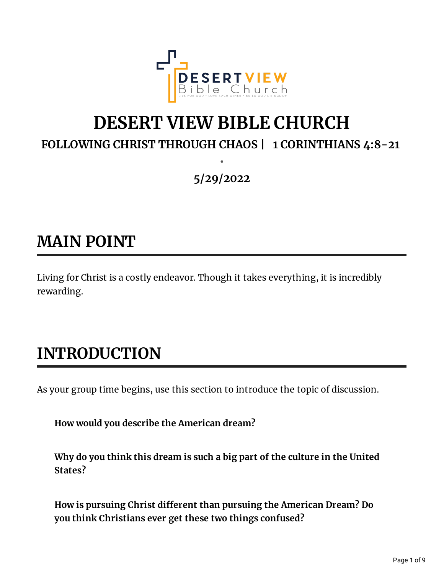

### **DESERT VIEW BIBLE CHURCH FOLLOWING CHRIST THROUGH CHAOS | 1 CORINTHIANS 4:8-21**

**5/29/2022**

**•**

### **MAIN POINT**

Living for Christ is a costly endeavor. Though it takes everything, it is incredibly rewarding.

# **INTRODUCTION**

As your group time begins, use this section to introduce the topic of discussion.

**How would you describe the American dream?**

**Why do you think this dream is such a big part of the culture in the United States?**

**How** is pursuing Christ different than pursuing the American Dream? Do **you think Christians ever get these two things confused?**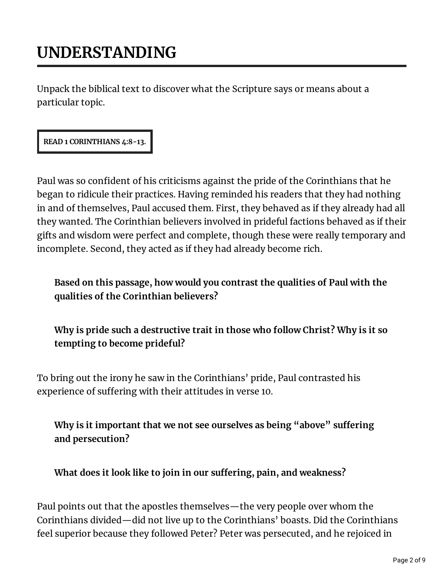# **UNDERSTANDING**

Unpack the biblical text to discover what the Scripture says or means about a particular topic.

#### **READ 1 CORINTHIANS 4:8-13.**

Paul was so confident of his criticisms against the pride of the Corinthians that he began to ridicule their practices. Having reminded his readers that they had nothing in and of themselves, Paul accused them. First, they behaved as if they already had all they wanted. The Corinthian believers involved in prideful factions behaved as if their gifts and wisdom were perfect and complete, though these were really temporary and incomplete. Second, they acted as if they had already become rich.

**Based on this passage, how would you contrast the qualities of Paul with the qualities of the Corinthian believers?**

**Why is pride such a destructive trait in those who follow Christ? Why is it so tempting to become prideful?**

To bring out the irony he saw in the Corinthians' pride, Paul contrasted his experience of suffering with their attitudes in verse 10.

**Why is it important that we not see ourselves as being "above" suering and persecution?**

**What does it look like to join in our suering, pain, and weakness?**

Paul points out that the apostles themselves—the very people over whom the Corinthians divided—did not live up to the Corinthians' boasts. Did the Corinthians feel superior because they followed Peter? Peter was persecuted, and he rejoiced in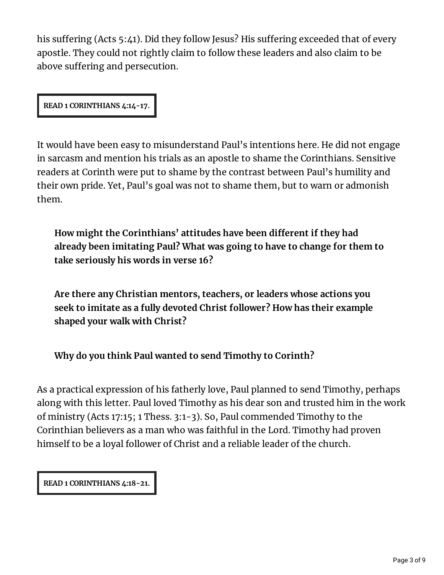his suffering (Acts 5:41). Did they follow Jesus? His suffering exceeded that of every apostle. They could not rightly claim to follow these leaders and also claim to be above suffering and persecution.

**READ 1 CORINTHIANS 4:14-17.**

It would have been easy to misunderstand Paul's intentions here. He did not engage in sarcasm and mention his trials as an apostle to shame the Corinthians. Sensitive readers at Corinth were put to shame by the contrast between Paul's humility and their own pride. Yet, Paul's goal was not to shame them, but to warn or admonish them.

**How might the Corinthians' attitudes have been dierent if they had already been imitating Paul? What was going to have to change for them to take seriously his words in verse 16?**

**Are there any Christian mentors, teachers, or leaders whose actions you seek to imitate as a fully devoted Christ follower? How has their example shaped your walk with Christ?**

**Why do you think Paul wanted to send Timothy to Corinth?**

As a practical expression of his fatherly love, Paul planned to send Timothy, perhaps along with this letter. Paul loved Timothy as his dear son and trusted him in the work of ministry (Acts 17:15; 1 Thess. 3:1-3). So, Paul commended Timothy to the Corinthian believers as a man who was faithful in the Lord. Timothy had proven himself to be a loyal follower of Christ and a reliable leader of the church.

**READ 1 CORINTHIANS 4:18-21.**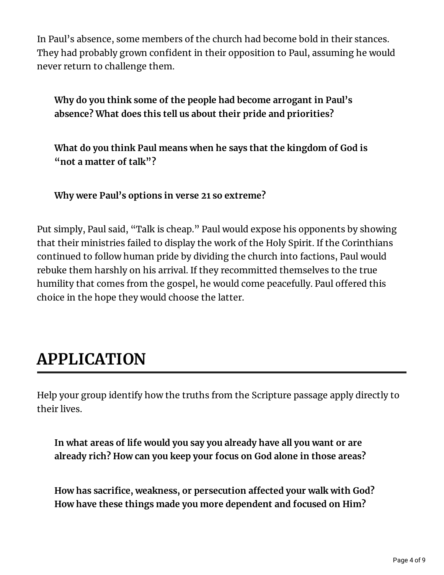In Paul's absence, some members of the church had become bold in their stances. They had probably grown confident in their opposition to Paul, assuming he would never return to challenge them.

**Why do you think some of the people had become arrogant in Paul's absence? What does this tell us about their pride and priorities?**

**What do you think Paul means when he says that the kingdom of God is "not a matter of talk"?**

**Why were Paul's options in verse 21 so extreme?**

Put simply, Paul said, "Talk is cheap." Paul would expose his opponents by showing that their ministries failed to display the work of the Holy Spirit. If the Corinthians continued to follow human pride by dividing the church into factions, Paul would rebuke them harshly on his arrival. If they recommitted themselves to the true humility that comes from the gospel, he would come peacefully. Paul offered this choice in the hope they would choose the latter.

### **APPLICATION**

Help your group identify how the truths from the Scripture passage apply directly to their lives.

**In what areas of life would you say you already have all you want or are already rich? How can you keep your focus on God alone in those areas?**

**How has sacrice, weakness, or persecution aected your walk with God? How have these things made you more dependent and focused on Him?**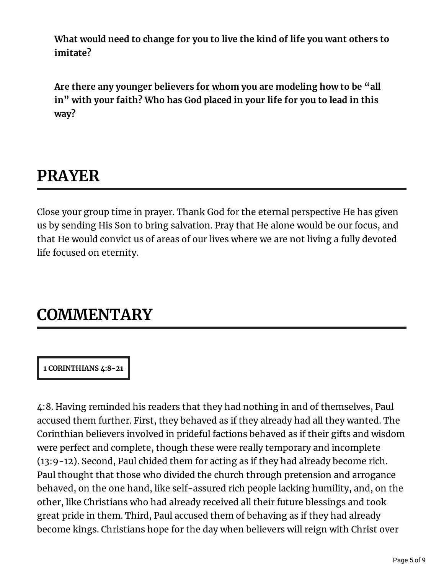**What would need to change for you to live the kind of life you want others to imitate?**

**Are there any younger believers for whom you are modeling how to be "all in" with your faith? Who has God placed in your life for you to lead in this way?**

# **PRAYER**

Close your group time in prayer. Thank God for the eternal perspective He has given us by sending His Son to bring salvation. Pray that He alone would be our focus, and that He would convict us of areas of our lives where we are not living a fully devoted life focused on eternity.

### **COMMENTARY**

#### **1 CORINTHIANS 4:8-21**

4:8. Having reminded his readers that they had nothing in and of themselves, Paul accused them further. First, they behaved as if they already had all they wanted. The Corinthian believers involved in prideful factions behaved as if their gifts and wisdom were perfect and complete, though these were really temporary and incomplete (13:9-12). Second, Paul chided them for acting as if they had already become rich. Paul thought that those who divided the church through pretension and arrogance behaved, on the one hand, like self-assured rich people lacking humility, and, on the other, like Christians who had already received all their future blessings and took great pride in them. Third, Paul accused them of behaving as if they had already become kings. Christians hope for the day when believers will reign with Christ over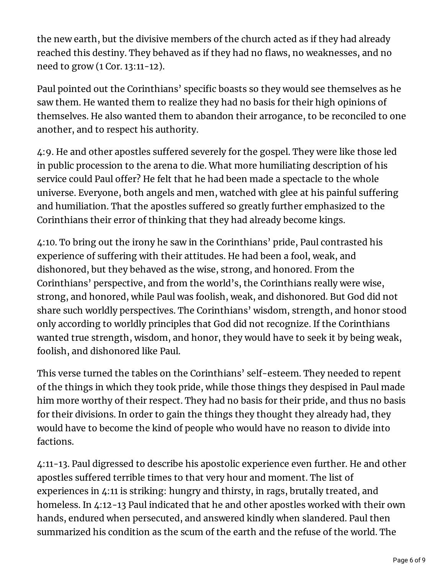the new earth, but the divisive members of the church acted as if they had already reached this destiny. They behaved as if they had no flaws, no weaknesses, and no need to grow (1 Cor. 13:11-12).

Paul pointed out the Corinthians' specific boasts so they would see themselves as he saw them. He wanted them to realize they had no basis for their high opinions of themselves. He also wanted them to abandon their arrogance, to be reconciled to one another, and to respect his authority.

4:9. He and other apostles suffered severely for the gospel. They were like those led in public procession to the arena to die. What more humiliating description of his service could Paul offer? He felt that he had been made a spectacle to the whole universe. Everyone, both angels and men, watched with glee at his painful suffering and humiliation. That the apostles suffered so greatly further emphasized to the Corinthians their error of thinking that they had already become kings.

4:10. To bring out the irony he saw in the Corinthians' pride, Paul contrasted his experience of suffering with their attitudes. He had been a fool, weak, and dishonored, but they behaved as the wise, strong, and honored. From the Corinthians' perspective, and from the world's, the Corinthians really were wise, strong, and honored, while Paul was foolish, weak, and dishonored. But God did not share such worldly perspectives. The Corinthians' wisdom, strength, and honor stood only according to worldly principles that God did not recognize. If the Corinthians wanted true strength, wisdom, and honor, they would have to seek it by being weak, foolish, and dishonored like Paul.

This verse turned the tables on the Corinthians' self-esteem. They needed to repent of the things in which they took pride, while those things they despised in Paul made him more worthy of their respect. They had no basis for their pride, and thus no basis for their divisions. In order to gain the things they thought they already had, they would have to become the kind of people who would have no reason to divide into factions.

4:11-13. Paul digressed to describe his apostolic experience even further. He and other apostles suffered terrible times to that very hour and moment. The list of experiences in 4:11 is striking: hungry and thirsty, in rags, brutally treated, and homeless. In 4:12-13 Paul indicated that he and other apostles worked with their own hands, endured when persecuted, and answered kindly when slandered. Paul then summarized his condition as the scum of the earth and the refuse of the world. The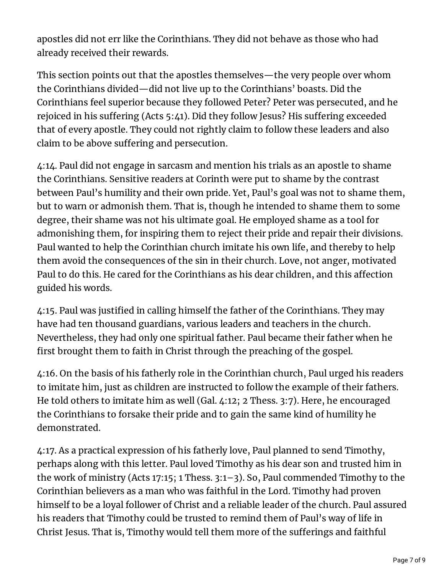apostles did not err like the Corinthians. They did not behave as those who had already received their rewards.

This section points out that the apostles themselves—the very people over whom the Corinthians divided—did not live up to the Corinthians' boasts. Did the Corinthians feel superior because they followed Peter? Peter was persecuted, and he rejoiced in his suffering (Acts  $5:41$ ). Did they follow Jesus? His suffering exceeded that of every apostle. They could not rightly claim to follow these leaders and also claim to be above suffering and persecution.

4:14. Paul did not engage in sarcasm and mention his trials as an apostle to shame the Corinthians. Sensitive readers at Corinth were put to shame by the contrast between Paul's humility and their own pride. Yet, Paul's goal was not to shame them, but to warn or admonish them. That is, though he intended to shame them to some degree, their shame was not his ultimate goal. He employed shame as a tool for admonishing them, for inspiring them to reject their pride and repair their divisions. Paul wanted to help the Corinthian church imitate his own life, and thereby to help them avoid the consequences of the sin in their church. Love, not anger, motivated Paul to do this. He cared for the Corinthians as his dear children, and this affection guided his words.

4:15. Paul was justified in calling himself the father of the Corinthians. They may have had ten thousand guardians, various leaders and teachers in the church. Nevertheless, they had only one spiritual father. Paul became their father when he first brought them to faith in Christ through the preaching of the gospel.

4:16. On the basis of his fatherly role in the Corinthian church, Paul urged his readers to imitate him, just as children are instructed to follow the example of their fathers. He told others to imitate him as well (Gal. 4:12; 2 Thess. 3:7). Here, he encouraged the Corinthians to forsake their pride and to gain the same kind of humility he demonstrated.

4:17. As a practical expression of his fatherly love, Paul planned to send Timothy, perhaps along with this letter. Paul loved Timothy as his dear son and trusted him in the work of ministry (Acts 17:15; 1 Thess. 3:1–3). So, Paul commended Timothy to the Corinthian believers as a man who was faithful in the Lord. Timothy had proven himself to be a loyal follower of Christ and a reliable leader of the church. Paul assured his readers that Timothy could be trusted to remind them of Paul's way of life in Christ Jesus. That is, Timothy would tell them more of the sufferings and faithful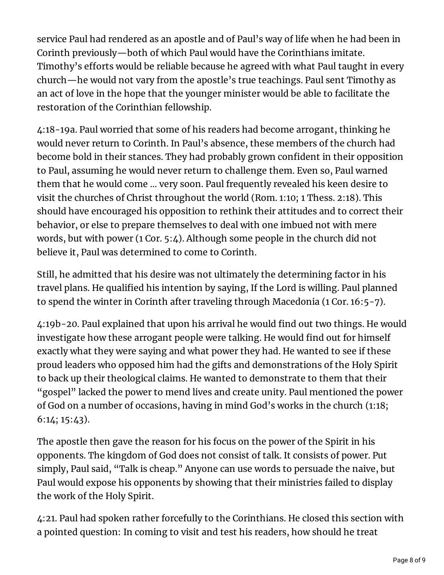service Paul had rendered as an apostle and of Paul's way of life when he had been in Corinth previously—both of which Paul would have the Corinthians imitate. Timothy's efforts would be reliable because he agreed with what Paul taught in every church—he would not vary from the apostle's true teachings. Paul sent Timothy as an act of love in the hope that the younger minister would be able to facilitate the restoration of the Corinthian fellowship.

4:18-19a. Paul worried that some of his readers had become arrogant, thinking he would never return to Corinth. In Paul's absence, these members of the church had become bold in their stances. They had probably grown confident in their opposition to Paul, assuming he would never return to challenge them. Even so, Paul warned them that he would come … very soon. Paul frequently revealed his keen desire to visit the churches of Christ throughout the world (Rom. 1:10; 1 Thess. 2:18). This should have encouraged his opposition to rethink their attitudes and to correct their behavior, or else to prepare themselves to deal with one imbued not with mere words, but with power (1 Cor. 5:4). Although some people in the church did not believe it, Paul was determined to come to Corinth.

Still, he admitted that his desire was not ultimately the determining factor in his travel plans. He qualified his intention by saying, If the Lord is willing. Paul planned to spend the winter in Corinth after traveling through Macedonia (1 Cor. 16:5-7).

4:19b-20. Paul explained that upon his arrival he would find out two things. He would investigate how these arrogant people were talking. He would find out for himself exactly what they were saying and what power they had. He wanted to see if these proud leaders who opposed him had the gifts and demonstrations of the Holy Spirit to back up their theological claims. He wanted to demonstrate to them that their "gospel" lacked the power to mend lives and create unity. Paul mentioned the power of God on a number of occasions, having in mind God's works in the church (1:18; 6:14; 15:43).

The apostle then gave the reason for his focus on the power of the Spirit in his opponents. The kingdom of God does not consist of talk. It consists of power. Put simply, Paul said, "Talk is cheap." Anyone can use words to persuade the naive, but Paul would expose his opponents by showing that their ministries failed to display the work of the Holy Spirit.

4:21. Paul had spoken rather forcefully to the Corinthians. He closed this section with a pointed question: In coming to visit and test his readers, how should he treat